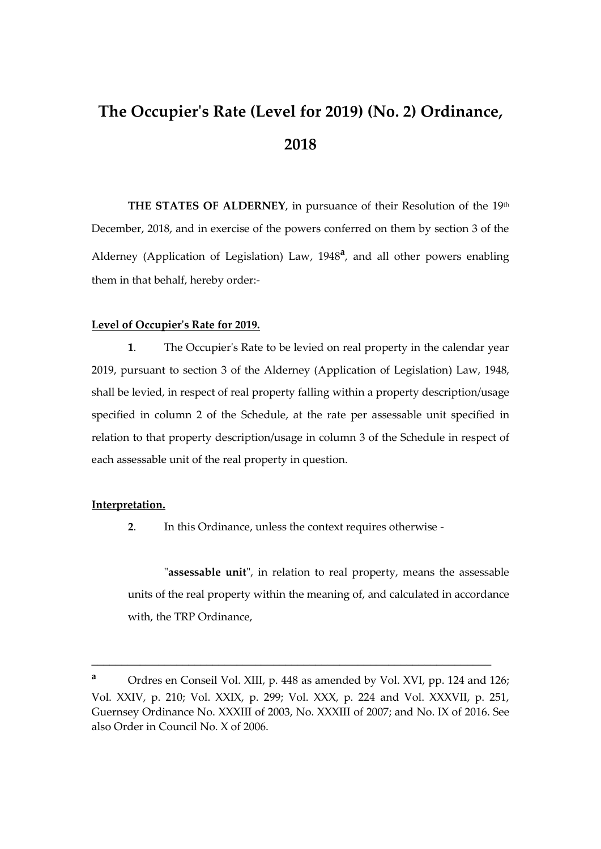# **The Occupier's Rate (Level for 2019) (No. 2) Ordinance, 2018**

**THE STATES OF ALDERNEY**, in pursuance of their Resolution of the 19<sup>th</sup> December, 2018, and in exercise of the powers conferred on them by section 3 of the Alderney (Application of Legislation) Law, 1948**<sup>a</sup>** , and all other powers enabling them in that behalf, hereby order:-

#### **Level of Occupier's Rate for 2019.**

**1**. The Occupier's Rate to be levied on real property in the calendar year 2019, pursuant to section 3 of the Alderney (Application of Legislation) Law, 1948, shall be levied, in respect of real property falling within a property description/usage specified in column 2 of the Schedule, at the rate per assessable unit specified in relation to that property description/usage in column 3 of the Schedule in respect of each assessable unit of the real property in question.

#### **Interpretation.**

**2**. In this Ordinance, unless the context requires otherwise -

"**assessable unit**", in relation to real property, means the assessable units of the real property within the meaning of, and calculated in accordance with, the TRP Ordinance,

\_\_\_\_\_\_\_\_\_\_\_\_\_\_\_\_\_\_\_\_\_\_\_\_\_\_\_\_\_\_\_\_\_\_\_\_\_\_\_\_\_\_\_\_\_\_\_\_\_\_\_\_\_\_\_\_\_\_\_\_\_\_\_\_\_\_

**<sup>a</sup>** Ordres en Conseil Vol. XIII, p. 448 as amended by Vol. XVI, pp. 124 and 126; Vol. XXIV, p. 210; Vol. XXIX, p. 299; Vol. XXX, p. 224 and Vol. XXXVII, p. 251, Guernsey Ordinance No. XXXIII of 2003, No. XXXIII of 2007; and No. IX of 2016. See also Order in Council No. X of 2006.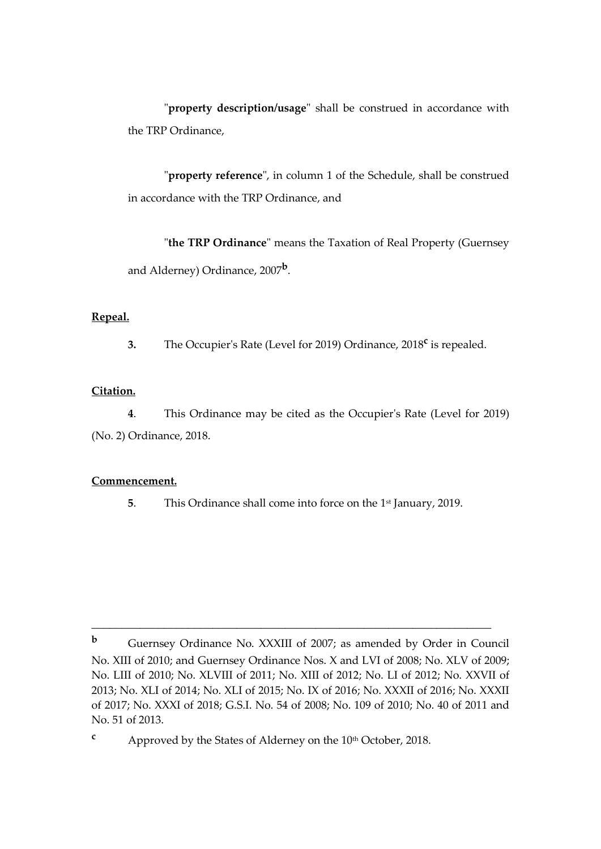"**property description/usage**" shall be construed in accordance with the TRP Ordinance,

"**property reference**", in column 1 of the Schedule, shall be construed in accordance with the TRP Ordinance, and

"**the TRP Ordinance**" means the Taxation of Real Property (Guernsey and Alderney) Ordinance, 2007**<sup>b</sup>** .

# **Repeal.**

**3.** The Occupier's Rate (Level for 2019) Ordinance, 2018<sup>c</sup> is repealed.

### **Citation.**

**4**. This Ordinance may be cited as the Occupier's Rate (Level for 2019) (No. 2) Ordinance, 2018.

#### **Commencement.**

**5.** This Ordinance shall come into force on the 1<sup>st</sup> January, 2019.

\_\_\_\_\_\_\_\_\_\_\_\_\_\_\_\_\_\_\_\_\_\_\_\_\_\_\_\_\_\_\_\_\_\_\_\_\_\_\_\_\_\_\_\_\_\_\_\_\_\_\_\_\_\_\_\_\_\_\_\_\_\_\_\_\_\_

**b** Guernsey Ordinance No. XXXIII of 2007; as amended by Order in Council No. XIII of 2010; and Guernsey Ordinance Nos. X and LVI of 2008; No. XLV of 2009; No. LIII of 2010; No. XLVIII of 2011; No. XIII of 2012; No. LI of 2012; No. XXVII of 2013; No. XLI of 2014; No. XLI of 2015; No. IX of 2016; No. XXXII of 2016; No. XXXII of 2017; No. XXXI of 2018; G.S.I. No. 54 of 2008; No. 109 of 2010; No. 40 of 2011 and No. 51 of 2013.

<sup>&</sup>lt;sup>c</sup> Approved by the States of Alderney on the 10<sup>th</sup> October, 2018.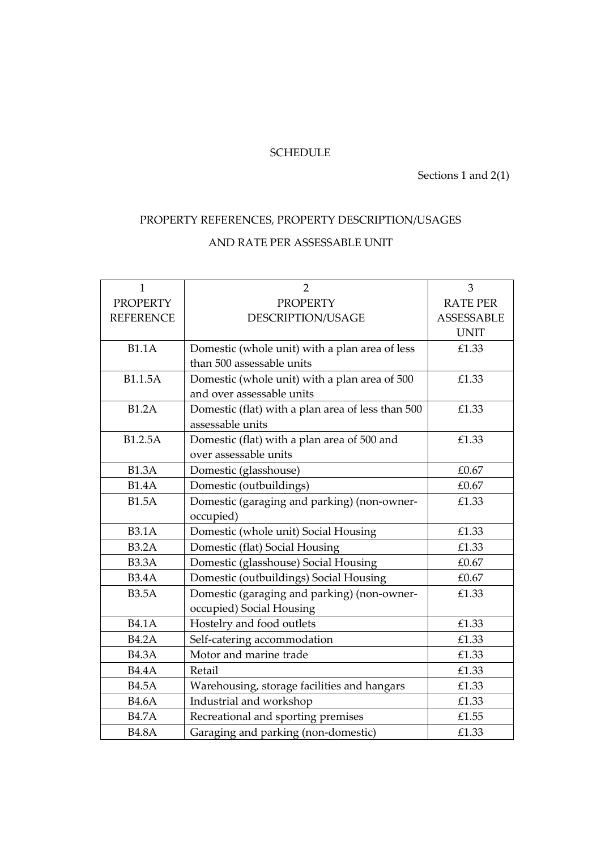# **SCHEDULE**

Sections 1 and 2(1)

# PROPERTY REFERENCES, PROPERTY DESCRIPTION/USAGES

# AND RATE PER ASSESSABLE UNIT

| $\mathbf{1}$     | $\overline{2}$                                    | 3                 |
|------------------|---------------------------------------------------|-------------------|
| <b>PROPERTY</b>  | <b>PROPERTY</b>                                   | <b>RATE PER</b>   |
| <b>REFERENCE</b> | DESCRIPTION/USAGE                                 | <b>ASSESSABLE</b> |
|                  |                                                   | <b>UNIT</b>       |
| <b>B1.1A</b>     | Domestic (whole unit) with a plan area of less    | £1.33             |
|                  | than 500 assessable units                         |                   |
| <b>B1.1.5A</b>   | Domestic (whole unit) with a plan area of 500     | £1.33             |
|                  | and over assessable units                         |                   |
| <b>B1.2A</b>     | Domestic (flat) with a plan area of less than 500 | £1.33             |
|                  | assessable units                                  |                   |
| B1.2.5A          | Domestic (flat) with a plan area of 500 and       | £1.33             |
|                  | over assessable units                             |                   |
| <b>B1.3A</b>     | Domestic (glasshouse)                             | £0.67             |
| <b>B1.4A</b>     | Domestic (outbuildings)                           | £0.67             |
| <b>B1.5A</b>     | Domestic (garaging and parking) (non-owner-       | £1.33             |
|                  | occupied)                                         |                   |
| <b>B3.1A</b>     | Domestic (whole unit) Social Housing              | £1.33             |
| <b>B3.2A</b>     | Domestic (flat) Social Housing                    | £1.33             |
| <b>B3.3A</b>     | Domestic (glasshouse) Social Housing              | £0.67             |
| <b>B3.4A</b>     | Domestic (outbuildings) Social Housing            | £0.67             |
| <b>B3.5A</b>     | Domestic (garaging and parking) (non-owner-       | £1.33             |
|                  | occupied) Social Housing                          |                   |
| <b>B4.1A</b>     | Hostelry and food outlets                         | £1.33             |
| <b>B4.2A</b>     | Self-catering accommodation                       | £1.33             |
| <b>B4.3A</b>     | Motor and marine trade                            | £1.33             |
| <b>B4.4A</b>     | Retail                                            | £1.33             |
| <b>B4.5A</b>     | Warehousing, storage facilities and hangars       | £1.33             |
| <b>B4.6A</b>     | Industrial and workshop                           | £1.33             |
| <b>B4.7A</b>     | Recreational and sporting premises                | £1.55             |
| <b>B4.8A</b>     | Garaging and parking (non-domestic)               | £1.33             |